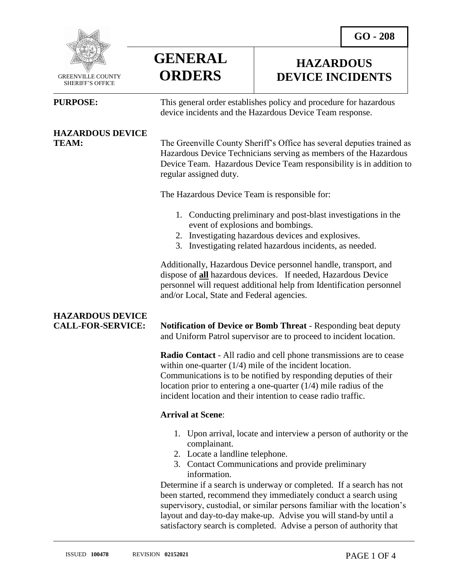**HAZARDOUS DEVICE INCIDENTS**



 GREENVILLE COUNTY SHERIFF'S OFFICE

 $\overline{a}$ 

**PURPOSE:** This general order establishes policy and procedure for hazardous device incidents and the Hazardous Device Team response.

### **HAZARDOUS DEVICE**

**TEAM:** The Greenville County Sheriff's Office has several deputies trained as Hazardous Device Technicians serving as members of the Hazardous Device Team. Hazardous Device Team responsibility is in addition to regular assigned duty.

The Hazardous Device Team is responsible for:

- 1. Conducting preliminary and post-blast investigations in the event of explosions and bombings.
- 2. Investigating hazardous devices and explosives.
- 3. Investigating related hazardous incidents, as needed.

Additionally, Hazardous Device personnel handle, transport, and dispose of **all** hazardous devices. If needed, Hazardous Device personnel will request additional help from Identification personnel and/or Local, State and Federal agencies.

## **HAZARDOUS DEVICE**

**CALL-FOR-SERVICE: Notification of Device or Bomb Threat** - Responding beat deputy and Uniform Patrol supervisor are to proceed to incident location.

> **Radio Contact** - All radio and cell phone transmissions are to cease within one-quarter (1/4) mile of the incident location. Communications is to be notified by responding deputies of their location prior to entering a one-quarter (1/4) mile radius of the incident location and their intention to cease radio traffic.

### **Arrival at Scene**:

**GENERAL**

**ORDERS**

- 1. Upon arrival, locate and interview a person of authority or the complainant.
- 2. Locate a landline telephone.
- 3. Contact Communications and provide preliminary information.

Determine if a search is underway or completed. If a search has not been started, recommend they immediately conduct a search using supervisory, custodial, or similar persons familiar with the location's layout and day-to-day make-up. Advise you will stand-by until a satisfactory search is completed. Advise a person of authority that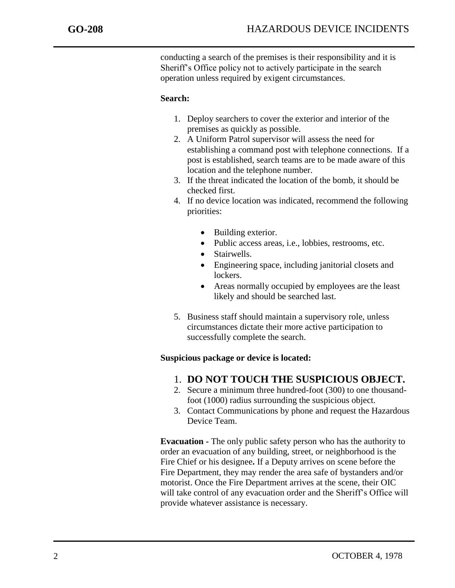j

conducting a search of the premises is their responsibility and it is Sheriff's Office policy not to actively participate in the search operation unless required by exigent circumstances.

#### **Search:**

- 1. Deploy searchers to cover the exterior and interior of the premises as quickly as possible.
- 2. A Uniform Patrol supervisor will assess the need for establishing a command post with telephone connections. If a post is established, search teams are to be made aware of this location and the telephone number.
- 3. If the threat indicated the location of the bomb, it should be checked first.
- 4. If no device location was indicated, recommend the following priorities:
	- Building exterior.
	- Public access areas, i.e., lobbies, restrooms, etc.
	- Stairwells.
	- Engineering space, including janitorial closets and lockers.
	- Areas normally occupied by employees are the least likely and should be searched last.
- 5. Business staff should maintain a supervisory role, unless circumstances dictate their more active participation to successfully complete the search.

#### **Suspicious package or device is located:**

- 1. **DO NOT TOUCH THE SUSPICIOUS OBJECT.**
- 2. Secure a minimum three hundred-foot (300) to one thousandfoot (1000) radius surrounding the suspicious object.
- 3. Contact Communications by phone and request the Hazardous Device Team.

**Evacuation -** The only public safety person who has the authority to order an evacuation of any building, street, or neighborhood is the Fire Chief or his designee**.** If a Deputy arrives on scene before the Fire Department, they may render the area safe of bystanders and/or motorist. Once the Fire Department arrives at the scene, their OIC will take control of any evacuation order and the Sheriff's Office will provide whatever assistance is necessary.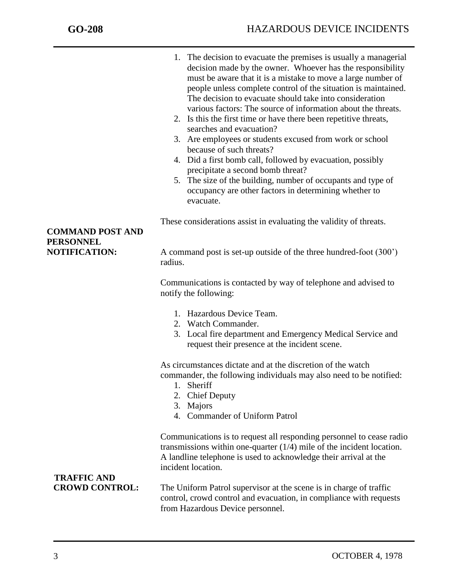j

- 1. The decision to evacuate the premises is usually a managerial decision made by the owner. Whoever has the responsibility must be aware that it is a mistake to move a large number of people unless complete control of the situation is maintained. The decision to evacuate should take into consideration various factors: The source of information about the threats.
- 2. Is this the first time or have there been repetitive threats, searches and evacuation?
- 3. Are employees or students excused from work or school because of such threats?
- 4. Did a first bomb call, followed by evacuation, possibly precipitate a second bomb threat?
- 5. The size of the building, number of occupants and type of occupancy are other factors in determining whether to evacuate.

These considerations assist in evaluating the validity of threats.

### **NOTIFICATION:** A command post is set-up outside of the three hundred-foot (300') radius.

Communications is contacted by way of telephone and advised to notify the following:

- 1. Hazardous Device Team.
- 2. Watch Commander.
- 3. Local fire department and Emergency Medical Service and request their presence at the incident scene.

As circumstances dictate and at the discretion of the watch commander, the following individuals may also need to be notified:

- 1. Sheriff
- 2. Chief Deputy
- 3. Majors
- 4. Commander of Uniform Patrol

Communications is to request all responding personnel to cease radio transmissions within one-quarter (1/4) mile of the incident location. A landline telephone is used to acknowledge their arrival at the incident location.

# **TRAFFIC AND**

The Uniform Patrol supervisor at the scene is in charge of traffic control, crowd control and evacuation, in compliance with requests from Hazardous Device personnel.

### **COMMAND POST AND PERSONNEL**